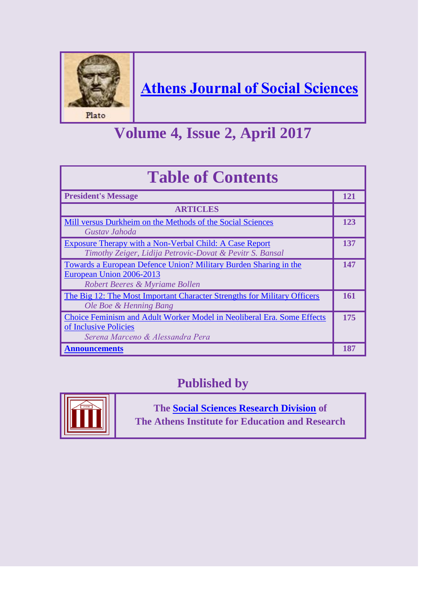

## **[Athens Journal of Social Sciences](http://www.athensjournals.gr/athens-journal-of-social-sciences)**

## **Volume 4, Issue 2, April 2017**

| <b>Table of Contents</b>                                                                                                            |     |
|-------------------------------------------------------------------------------------------------------------------------------------|-----|
| <b>President's Message</b>                                                                                                          | 121 |
| <b>ARTICLES</b>                                                                                                                     |     |
| Mill versus Durkheim on the Methods of the Social Sciences<br>Gustav Jahoda                                                         | 123 |
| <b>Exposure Therapy with a Non-Verbal Child: A Case Report</b><br>Timothy Zeiger, Lidija Petrovic-Dovat & Pevitr S. Bansal          | 137 |
| Towards a European Defence Union? Military Burden Sharing in the<br>European Union 2006-2013<br>Robert Beeres & Myriame Bollen      | 147 |
| The Big 12: The Most Important Character Strengths for Military Officers<br>Ole Boe & Henning Bang                                  | 161 |
| Choice Feminism and Adult Worker Model in Neoliberal Era. Some Effects<br>of Inclusive Policies<br>Serena Marceno & Alessandra Pera | 175 |
| <u>Announcements</u>                                                                                                                | 187 |

### **Published by**



**The [Social Sciences Research Division](http://www.atiner.gr/SSRD.htm) of The Athens Institute for Education and Research**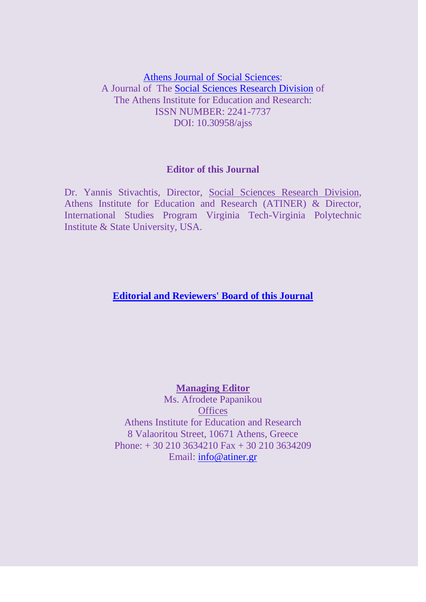[Athens Journal of Social Sciences:](http://www.athensjournals.gr/athens-journal-of-social-sciences) A Journal of The [Social Sciences Research Division](http://www.atiner.gr/SSRD.htm) of The Athens Institute for Education and Research: ISSN NUMBER: 2241-7737 DOI: 10.30958/ajss

#### **Editor of this Journal**

Dr. Yannis Stivachtis, Director, [Social Sciences Research Division,](http://www.atiner.gr/SSRD.htm) Athens Institute for Education and Research (ATINER) & Director, International Studies Program Virginia Tech-Virginia Polytechnic Institute & State University, USA.

#### **[Editorial and Reviewers' Board of this Journal](http://www.athensjournals.gr/athens-journal-of-social-sciences/editorial-and-reviewers-board-of-the-social-sciences-journal)**

#### **Managing Editor**

Ms. Afrodete Papanikou **Offices** Athens Institute for Education and Research 8 Valaoritou Street, 10671 Athens, Greece Phone: + 30 210 3634210 Fax + 30 210 3634209 Email: [info@atiner.gr](mailto:info@atiner.gr)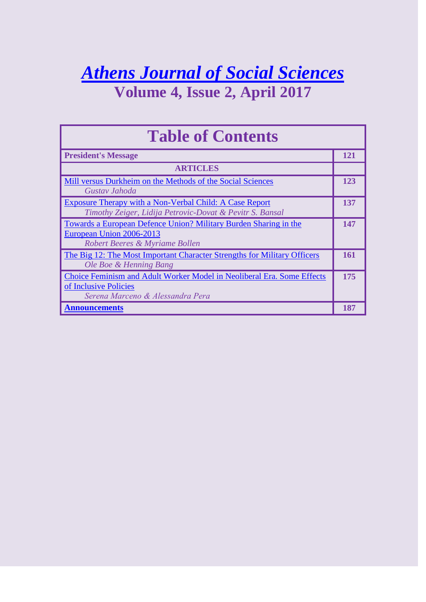## *[Athens Journal of Social Sciences](http://www.athensjournals.gr/athens-journal-of-social-sciences)* **Volume 4, Issue 2, April 2017**

| <b>Table of Contents</b>                                                                                                            |            |
|-------------------------------------------------------------------------------------------------------------------------------------|------------|
| <b>President's Message</b>                                                                                                          | 121        |
| <b>ARTICLES</b>                                                                                                                     |            |
| Mill versus Durkheim on the Methods of the Social Sciences<br>Gustav Jahoda                                                         | <b>123</b> |
| Exposure Therapy with a Non-Verbal Child: A Case Report<br>Timothy Zeiger, Lidija Petrovic-Dovat & Pevitr S. Bansal                 | 137        |
| Towards a European Defence Union? Military Burden Sharing in the<br>European Union 2006-2013<br>Robert Beeres & Myriame Bollen      | 147        |
| The Big 12: The Most Important Character Strengths for Military Officers<br>Ole Boe & Henning Bang                                  | 161        |
| Choice Feminism and Adult Worker Model in Neoliberal Era. Some Effects<br>of Inclusive Policies<br>Serena Marceno & Alessandra Pera | 175        |
| <b>Announcements</b>                                                                                                                | 187        |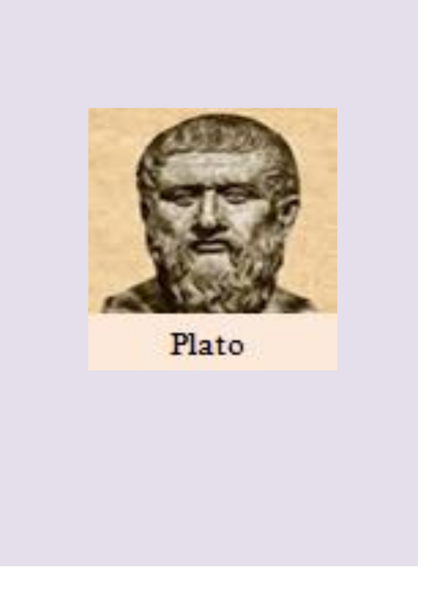

# Plato